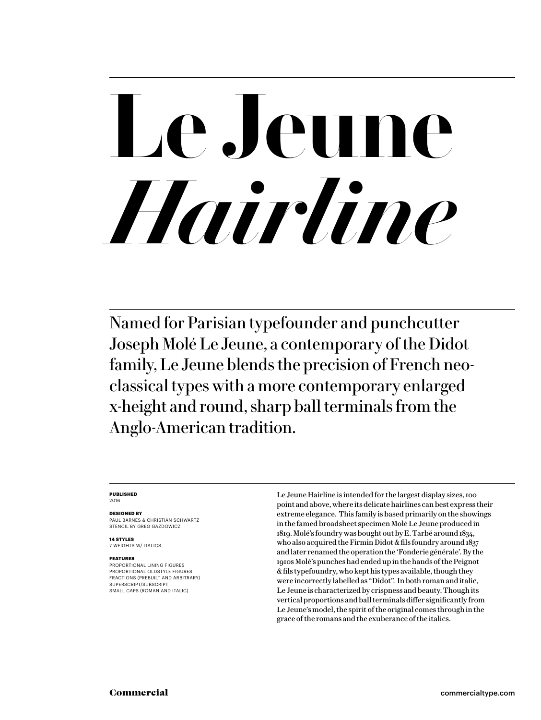### **Le Jeune**  *Hairline*

Named for Parisian typefounder and punchcutter Joseph Molé Le Jeune, a contemporary of the Didot family, Le Jeune blends the precision of French neoclassical types with a more contemporary enlarged x-height and round, sharp ball terminals from the Anglo-American tradition.

### **PUBLISHED** 2016

### **DESIGNED BY**

PAUL BARNES & CHRISTIAN SCHWARTZ STENCIL BY GREG GAZDOWICZ

**14 STYLES** 7 WEIGHTS W/ ITALICS

### **FEATURES**

PROPORTIONAL LINING FIGURES PROPORTIONAL OLDSTYLE FIGURES FRACTIONS (PREBUILT AND ARBITRARY) SUPERSCRIPT/SUBSCRIPT SMALL CAPS (ROMAN AND ITALIC)

Le Jeune Hairline is intended for the largest display sizes, 100 point and above, where its delicate hairlines can best express their extreme elegance. This family is based primarily on the showings in the famed broadsheet specimen Molé Le Jeune produced in 1819. Molé's foundry was bought out by E. Tarbé around 1834, who also acquired the Firmin Didot & fils foundry around 1837 and later renamed the operation the 'Fonderie générale'. By the 1910s Molé's punches had ended up in the hands of the Peignot & fils typefoundry, who kept his types available, though they were incorrectly labelled as "Didot". In both roman and italic, Le Jeune is characterized by crispness and beauty. Though its vertical proportions and ball terminals differ significantly from Le Jeune's model, the spirit of the original comes through in the grace of the romans and the exuberance of the italics.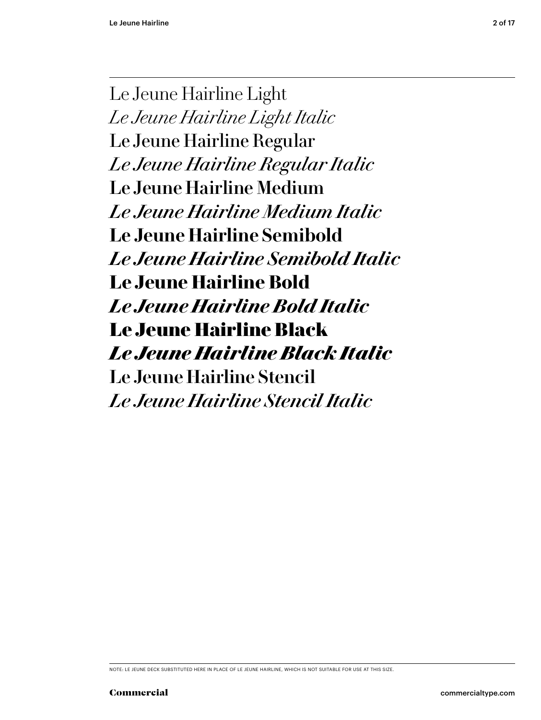Le Jeune Hairline Light *Le Jeune Hairline Light Italic* Le Jeune Hairline Regular *Le Jeune Hairline Regular Italic* Le Jeune Hairline Medium *Le Jeune Hairline Medium Italic* **Le Jeune Hairline Semibold** *Le Jeune Hairline Semibold Italic* **Le Jeune Hairline Bold** *Le Jeune Hairline Bold Italic* Le Jeune Hairline Black *Le Jeune Hairline Black Italic* Le Jeune Hairline Stencil *Le Jeune Hairline Stencil Italic*

NOTE: LE JEUNE DECK SUBSTITUTED HERE IN PLACE OF LE JEUNE HAIRLINE, WHICH IS NOT SUITABLE FOR USE AT THIS SIZE.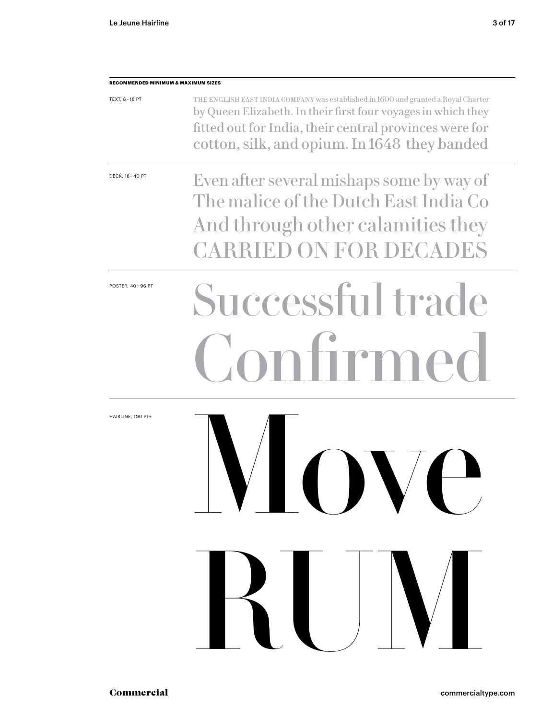| <b>RECOMMENDED MINIMUM &amp; MAXIMUM SIZES</b> |                                                                                                                                                                                                                                                               |  |
|------------------------------------------------|---------------------------------------------------------------------------------------------------------------------------------------------------------------------------------------------------------------------------------------------------------------|--|
| TEXT, 8-18 PT                                  | THE ENGLISH EAST INDIA COMPANY was established in 1600 and granted a Royal Charter<br>by Queen Elizabeth. In their first four voyages in which they<br>fitted out for India, their central provinces were for<br>cotton, silk, and opium. In 1648 they banded |  |
| DECK, 18 - 40 PT                               | Even after several mishaps some by way of<br>The malice of the Dutch East India Co<br>And through other calamities they<br><b>CARRIED ON FOR DECADES</b>                                                                                                      |  |
| POSTER, 40-96 PT                               | Successful trade<br>ntirmed                                                                                                                                                                                                                                   |  |
| HAIRLINE, 100 PT+                              | IVIQUVQ<br>RUV                                                                                                                                                                                                                                                |  |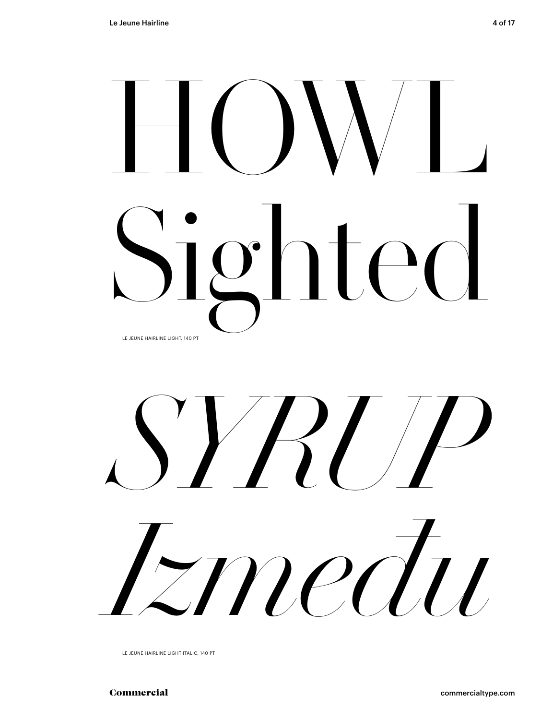## $\bigsqcup$ Sighted LE JEUNE HAIRLINE LIGHT, 140 PT



LE JEUNE HAIRLINE LIGHT ITALIC, 140 PT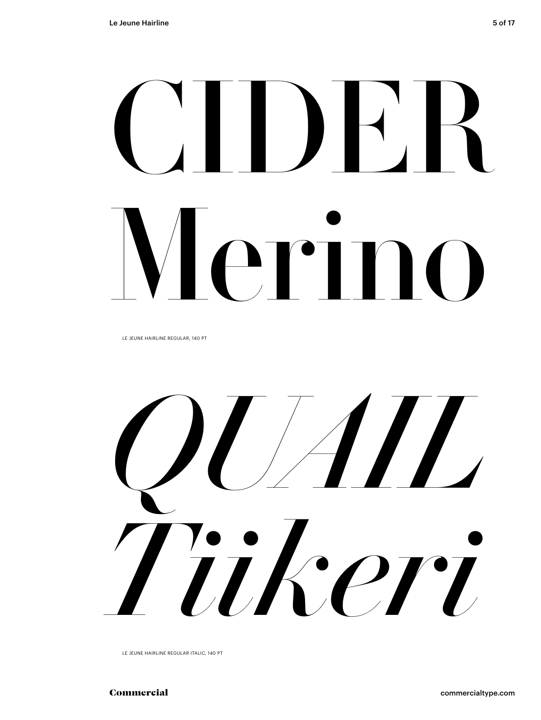## CIDER Merino

LE JEUNE HAIRLINE REGULAR, 140 PT



LE JEUNE HAIRLINE REGULAR ITALIC, 140 PT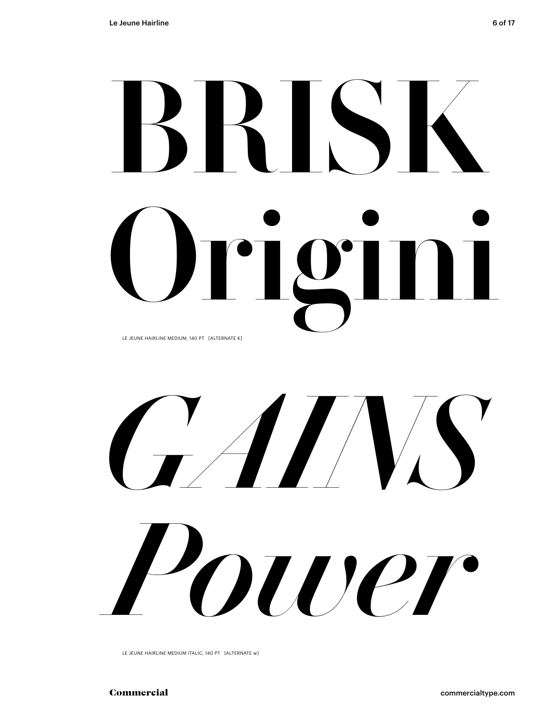### BRISK Origini LE JEUNE HAIRLINE MEDIUM, 140 PT [ALTERNATE K]

*GAINS Power*

LE JEUNE HAIRLINE MEDIUM ITALIC, 140 PT [ALTERNATE w]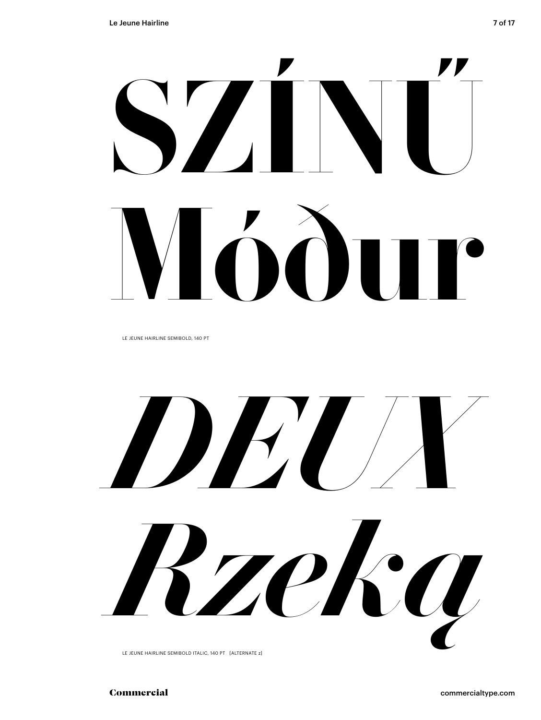LE JEUNE HAIRLINE SEMIBOLD, 140 PT

*DEUX Rzeką*

LE JEUNE HAIRLINE SEMIBOLD ITALIC, 140 PT [ALTERNATE z]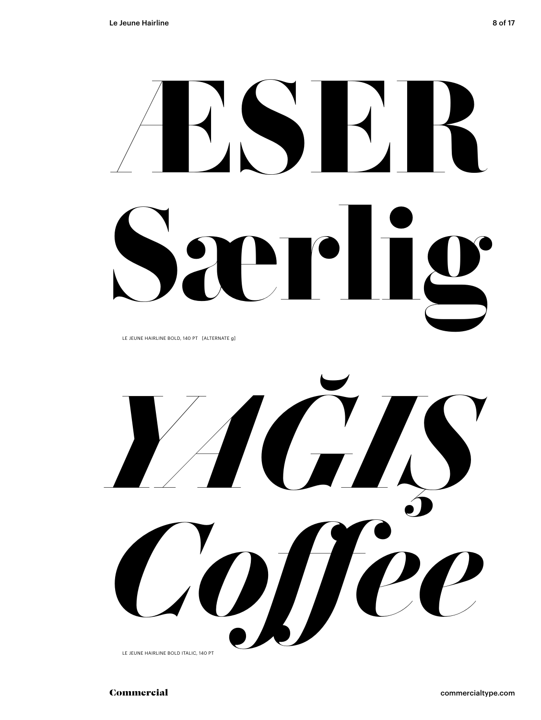# **ÆSER Særlig**

LE JEUNE HAIRLINE BOLD, 140 PT [ALTERNATE g]

*YAĞIŞ Coffee*

LE JEUNE HAIRLINE BOLD ITALIC, 140 PT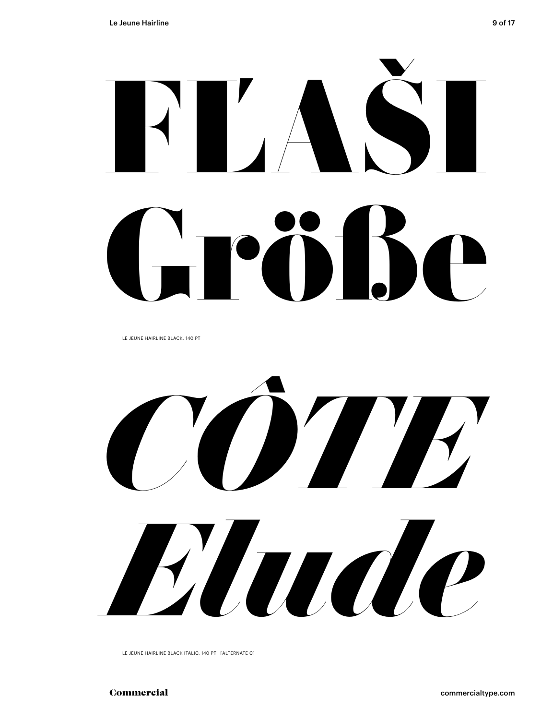# FĽAŠI L'rèilie

LE JEUNE HAIRLINE BLACK, 140 PT



LE JEUNE HAIRLINE BLACK ITALIC, 140 PT [ALTERNATE C]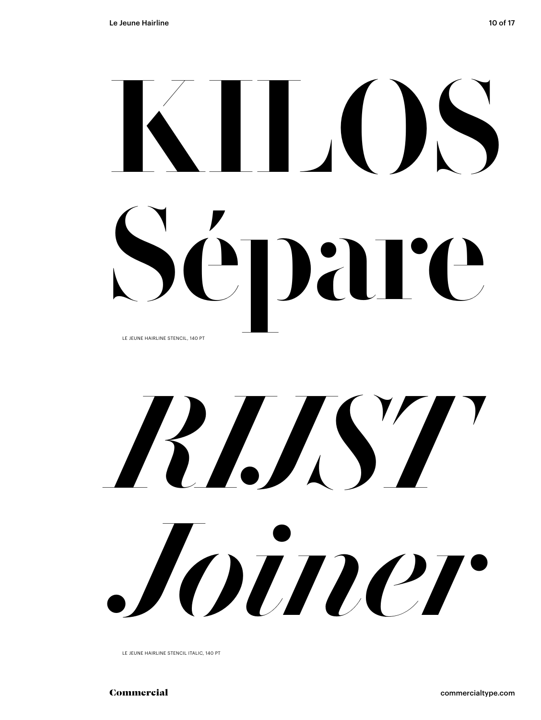### KILOS Sépare LE JEUNE HAIRLINE STENCIL, 140 PT

## *RIJST Joiner*

LE JEUNE HAIRLINE STENCIL ITALIC, 140 PT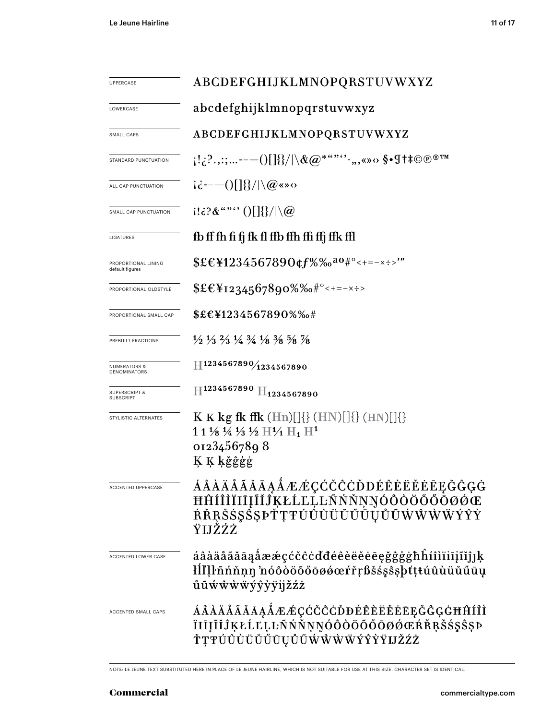| <b>UPPERCASE</b>                        | ABCDEFGHIJKLMNOPQRSTUVWXYZ                                                                                                                                                                                                                                                                                                                                                 |  |  |
|-----------------------------------------|----------------------------------------------------------------------------------------------------------------------------------------------------------------------------------------------------------------------------------------------------------------------------------------------------------------------------------------------------------------------------|--|--|
| LOWERCASE                               | abcdefghijklmnopqrstuvwxyz                                                                                                                                                                                                                                                                                                                                                 |  |  |
| SMALL CAPS                              | ABCDEFGHIJKLMNOPQRSTUVWXYZ                                                                                                                                                                                                                                                                                                                                                 |  |  |
| STANDARD PUNCTUATION                    | $\{S_{i_1},S_{i_2},\ldots\}=\{S_{i_k}\}\cup\{S_{i_k}\}\cup\{S_{i_k}\}\cup\{S_{i_k}\}\cup\{S_{i_k}\}\cup\{S_{i_k}\}\cup\{S_{i_k}\}\cup\{S_{i_k}\}\cup\{S_{i_k}\}\cup\{S_{i_k}\}\cup\{S_{i_k}\}\cup\{S_{i_k}\}\cup\{S_{i_k}\}\cup\{S_{i_k}\}\cup\{S_{i_k}\}\cup\{S_{i_k}\}\cup\{S_{i_k}\}\cup\{S_{i_k}\}\cup\{S_{i_k}\}\cup\{S_{i_k}\}\cup\{S_{i_k}\}\cup\{S_{i_k}\}\cup\{S$ |  |  |
| ALL CAP PUNCTUATION                     | $i\dot{\epsilon}$ ---()[]{}/ \@«»0                                                                                                                                                                                                                                                                                                                                         |  |  |
| SMALL CAP PUNCTUATION                   | $(113.28$ ""'' ()[] $\}/\sqrt{a}$                                                                                                                                                                                                                                                                                                                                          |  |  |
| LIGATURES                               | fb ff fh fi fj fk fl ffb ffh ffi ffj ffk ffl                                                                                                                                                                                                                                                                                                                               |  |  |
| PROPORTIONAL LINING<br>default figures  | $EEY1234567890$ cf%‰ <sup>ao#°</sup> <+=-x÷>'"                                                                                                                                                                                                                                                                                                                             |  |  |
| PROPORTIONAL OLDSTYLE                   | $EE_{1234567890\%6*^{\circ}<+=-x\div}$                                                                                                                                                                                                                                                                                                                                     |  |  |
| PROPORTIONAL SMALL CAP                  | \$£€¥1234567890%‰#                                                                                                                                                                                                                                                                                                                                                         |  |  |
| PREBUILT FRACTIONS                      | $\frac{1}{2}$ $\frac{1}{3}$ $\frac{2}{3}$ $\frac{1}{4}$ $\frac{3}{4}$ $\frac{1}{8}$ $\frac{3}{8}$ $\frac{5}{8}$ $\frac{7}{8}$                                                                                                                                                                                                                                              |  |  |
| <b>NUMERATORS &amp;</b><br>DENOMINATORS | H1234567890/1234567890                                                                                                                                                                                                                                                                                                                                                     |  |  |
| <b>SUPERSCRIPT &amp;</b><br>SUBSCRIPT   | $H^{1234567890}$ $H_{1234567890}$                                                                                                                                                                                                                                                                                                                                          |  |  |
| STYLISTIC ALTERNATES                    | <b>K K</b> kg fk ffk $(Hn)[]\{\}$ $(HN)[]\{\}$ $(HN)[]\{\}$<br>1 1 1/8 1/4 1/3 1/2 H1/1 H <sub>1</sub> H <sup>1</sup><br>01234567898<br>K K kğêgg                                                                                                                                                                                                                          |  |  |
| <b>ACCENTED UPPERCASE</b>               | ÁÂÀĂÅÃĂĀĄÅÆÆÇĆČĈĊĎĐÉÊÈËĔĒĘĞĜĢĠ<br>ĦĤÍÎÌÏIĪĮĨĬĴĶŁĹĽĻĿÑŃŇŅŊÓÔŎŎŐŌØØŒ<br>ŔŘŖŠŚŞŜȘÞŤŢŦÚŮÙÜŬŰŨŲŮŨŴŴŴŸŶŶ<br>ŸIJŽŹŻ                                                                                                                                                                                                                                                               |  |  |
| <b>ACCENTED LOWER CASE</b>              | áâàäåãăāąåææçćčĉċďđéêèëěēegğĝġġħĥíîìïiījĩĭĵ]ķ<br>łĺľļŀñńňṇŋ nóôòöőőōøǿœŕřŗßšśşŝşþťţŧúûùüŭűūų<br>ůũẃŵẁẅýŷỳÿijžźż                                                                                                                                                                                                                                                            |  |  |
| ACCENTED SMALL CAPS                     | ÁÂÀÄÅÃĂĀĄÅÆÆÇĆČĈĊĎĐÉÊÈËĔĒĒĘĞĜĢĠĦĤÍÎÌ<br>ÏIĪĮĨĬĴĶŁĹĽĻĿÑŃŇŅŊÓÔŎÖŐŐØØŒŔŘŖŠ\$\$\$ŞÞ<br>ŤŢŦÚŨÙÜŬŬŰŪŲŮŨŴŴŴŴÝŶŶŸIJŽŹŻ                                                                                                                                                                                                                                                             |  |  |

NOTE: LE JEUNE TEXT SUBSTITUTED HERE IN PLACE OF LE JEUNE HAIRLINE, WHICH IS NOT SUITABLE FOR USE AT THIS SIZE. CHARACTER SET IS IDENTICAL.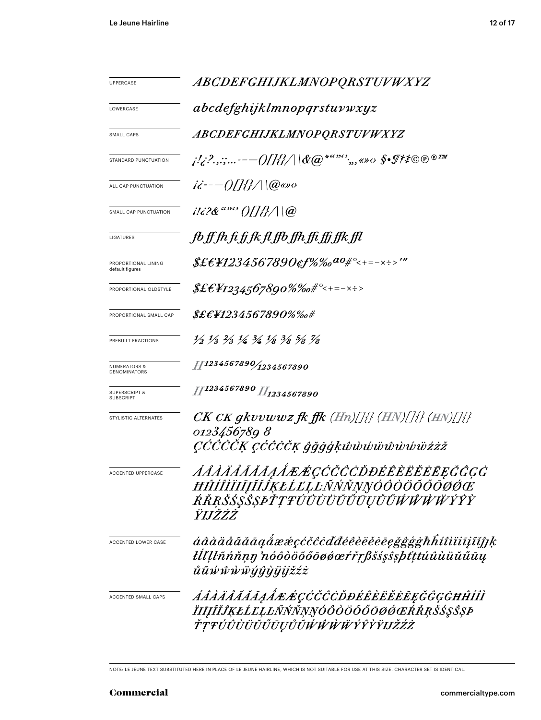| <b>UPPERCASE</b>                             | ABCDEFGHIJKLMNOPQRSTUVWXYZ                                                                                                    |  |  |
|----------------------------------------------|-------------------------------------------------------------------------------------------------------------------------------|--|--|
| LOWERCASE                                    | abcdefghijklmnopqrstuvwxyz                                                                                                    |  |  |
| SMALL CAPS                                   | ABCDEFGHIJKLMNOPQRSTUVWXYZ                                                                                                    |  |  |
| STANDARD PUNCTUATION                         |                                                                                                                               |  |  |
| ALL CAP PUNCTUATION                          | $i\ddot{\epsilon}$ - $-$ ()[]{}/ \@@go                                                                                        |  |  |
| SMALL CAP PUNCTUATION                        | $i!i$ ?& "" ()[]{}/ \@                                                                                                        |  |  |
| LIGATURES                                    | fb ff fh fi fj fk fl ffb ffh ffi ffj ffk ffl                                                                                  |  |  |
| PROPORTIONAL LINING<br>default figures       | $$$ £€¥1234567890¢f%‰ <sup>ao</sup> #°<+=-×÷>'"                                                                               |  |  |
| PROPORTIONAL OLDSTYLE                        | $\&\&E4$ 1234,567890%%o#°<+=-×÷>                                                                                              |  |  |
| PROPORTIONAL SMALL CAP                       | $\pounds\pounds\pounds\pounds\pH234567890\% \%$ o#                                                                            |  |  |
| PREBUILT FRACTIONS                           | $\frac{1}{2}$ $\frac{1}{3}$ $\frac{2}{3}$ $\frac{1}{4}$ $\frac{3}{4}$ $\frac{1}{8}$ $\frac{3}{8}$ $\frac{5}{8}$ $\frac{7}{8}$ |  |  |
| <b>NUMERATORS &amp;</b><br>DENOMINATORS      | $H^{1234567890}/_{1234567890}$                                                                                                |  |  |
| <b>SUPERSCRIPT &amp;</b><br><b>SUBSCRIPT</b> | H1234567890 H1234567890                                                                                                       |  |  |
| STYLISTIC ALTERNATES                         | $CK\,CK\,gkvvwwz\,f\!k\,f\!f\!k\,(Hn)/[\frac{1}{2}\,(HN)/[\frac{1}{2}\,(HN)/[\frac{1}{2}\,])$                                 |  |  |
|                                              | 0123456789 8<br><i>ÇĆĈČČĶ ÇĆĈČČĶ ĝğġģķŵwwwwwwwzzž</i>                                                                         |  |  |
| ACCENTED UPPERCASE                           | <i><i>AAAAAAAAAAÆÆÇĆČČČDĐÉÊÈËËĒĒĘĞĜĢĠ</i></i><br>ĦĤÍÎÌÏIJIJĨĬĴĶŁĹĽĻĿÑŃŇŅŊÓÔŎÖŐŐŌØĆĊ<br>ŔŘŖŠŚŞŜŞPŤŢŦÚÛÙÜŬŬŨŲŮŨŴŴŴŸŶŶ<br>ŸIJŽŹŻ |  |  |
| ACCENTED LOWER CASE                          | áâàäåããāaaẩææçćčĉċďđéêèëĕēegğĝġġħĥíîìïiījĩĭjןk<br>łĺľĮŀñńňṇŋ 'nóôòöõőōøǿœŕřŗßšśşŝşþťtŧúûùüŭűūų<br>ůũŵŵẁẅýŷỳÿijžźż             |  |  |
| ACCENTED SMALL CAPS                          | <i>AÂÀÄÅÃĂĀĄÅÆÆÇĆČĈĊĎĐÉÊÈËĔĔĒĘĞĜĢĠĦĤÍÎÌ</i><br>ÏIJĨĬĴĶŁĹĽĻĿÑŃŇŅŊÓÔÒÖŐŐŌØŔŔŖŠŚŞŜŞÞ<br>ŤŢŦÚÛÙÜŬŰŪŲŮŨŴŴŴŴÝŶŶŸIJŽŹŻ               |  |  |

NOTE: LE JEUNE TEXT SUBSTITUTED HERE IN PLACE OF LE JEUNE HAIRLINE, WHICH IS NOT SUITABLE FOR USE AT THIS SIZE. CHARACTER SET IS IDENTICAL.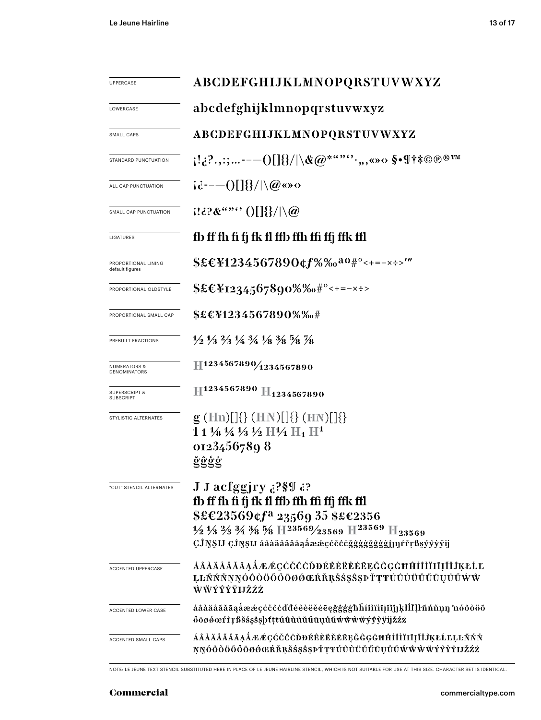| <b>UPPERCASE</b>                             | ABCDEFGHIJKLMNOPQRSTUVWXYZ                                                                                                                                                                                                                                                                                                        |  |  |  |
|----------------------------------------------|-----------------------------------------------------------------------------------------------------------------------------------------------------------------------------------------------------------------------------------------------------------------------------------------------------------------------------------|--|--|--|
| LOWERCASE                                    | abcdefghijklmnopqrstuvwxyz                                                                                                                                                                                                                                                                                                        |  |  |  |
| SMALL CAPS                                   | ABCDEFGHIJKLMNOPQRSTUVWXYZ                                                                                                                                                                                                                                                                                                        |  |  |  |
| STANDARD PUNCTUATION                         | $\{1,2^2,2^2,---0[1]\}/\backslash \& @^{***}{\cdots},\text{and} \ \$ \bullet \$\ast\$\ast\otimes\mathbb{D}^{\circledast\,\mathrm{TM}}$                                                                                                                                                                                            |  |  |  |
| ALL CAP PUNCTUATION                          | $i\dot{\alpha}$ =--()[]{}/ \@@o                                                                                                                                                                                                                                                                                                   |  |  |  |
| SMALL CAP PUNCTUATION                        | $1! \in \mathbb{R}^n$ ( ) $\left[\frac{1}{3}\right] \setminus \omega$                                                                                                                                                                                                                                                             |  |  |  |
| LIGATURES                                    | fb ff fh fi fj fk fl ffb ffh ffi ffj ffk ffl                                                                                                                                                                                                                                                                                      |  |  |  |
| PROPORTIONAL LINING<br>default figures       | \$£€¥1234567890¢f%‰ <sup>ao</sup> #°<+=-×÷>'"                                                                                                                                                                                                                                                                                     |  |  |  |
| PROPORTIONAL OLDSTYLE                        | $$£CY1234567890\%%0$ #°<+=-x÷>                                                                                                                                                                                                                                                                                                    |  |  |  |
| PROPORTIONAL SMALL CAP                       | \$£€¥1234567890%‰#                                                                                                                                                                                                                                                                                                                |  |  |  |
| PREBUILT FRACTIONS                           | $\frac{1}{2}$ $\frac{1}{3}$ $\frac{2}{3}$ $\frac{1}{4}$ $\frac{3}{4}$ $\frac{1}{8}$ $\frac{3}{8}$ $\frac{5}{8}$ $\frac{7}{8}$                                                                                                                                                                                                     |  |  |  |
| <b>NUMERATORS &amp;</b><br>DENOMINATORS      | 11234567890/1234567890                                                                                                                                                                                                                                                                                                            |  |  |  |
| <b>SUPERSCRIPT &amp;</b><br><b>SUBSCRIPT</b> | H <sub>1234567890</sub> H <sub>1234567890</sub>                                                                                                                                                                                                                                                                                   |  |  |  |
| STYLISTIC ALTERNATES                         | $g$ (Hn)[]{} (HN)[]{} (HN)[]{}<br>$11\frac{1}{8}\frac{1}{4}\frac{1}{3}\frac{1}{2}$ H $\frac{1}{4}$ H <sub>1</sub> H <sup>1</sup><br>01234567898<br>ğĝģġ                                                                                                                                                                           |  |  |  |
| "CUT" STENCIL ALTERNATES                     | J J acfggjry ¿?§¶ ¿?<br>fb ff fh fi fj fk fl ffb ffh ffi ffj ffk ffl<br>\$£€23569¢f <sup>a</sup> 23569 35 \$£€2356<br>$\frac{1}{2}\frac{1}{3}\frac{2}{3}\frac{3}{4}\frac{3}{8}\frac{5}{8}$ H <sup>23569</sup> / <sub>23569</sub> H <sup>23569</sup> H <sub>23569</sub><br>ÇĴŊŞIJ ÇĴŊŞIJ áâàäåããāąåææçćčĉċğggggggggj]]]rrrßşýyyyij |  |  |  |
| <b>ACCENTED UPPERCASE</b>                    | ÁÂÀÄÅÃĂĀĄÅÆÆÇĆČĈĊĎĐÉÈÈĔĔĔĘĞĜĢĠĦĤÍÎÌÏIĮĨĬĴĶŁĹĽ<br>ĿĿÑŃŇŅŊÓŎŎŎŐŐŌØŐŒŔŘŖŠŚŞŜŞÞŤŢŦŬŨÙŬŬŬŨŲŮŨŴŴ<br>ŴŴÝŶŶŸIJŽŹŻ                                                                                                                                                                                                                         |  |  |  |
| ACCENTED LOWER CASE                          | áâàäåããāąåææçćčĉċďdéêèëěēegğġġħĥíîìïiīįĩĭjĵķłĺľļŀñńňņŋ 'nóôòöõ<br>őöøøœŕřŗßšśşŝşþtţŧúûùüŭűūụůũwŵŵwyŷỳÿijžźż                                                                                                                                                                                                                       |  |  |  |
| ACCENTED SMALL CAPS                          | ÁÂÀÄÄÄÄÄĄÅÆÆÇĆČĈÒĐÉÊÈËĚĔĘĞĜĢĠĦĤÍÎÌÏIĮĨĬĴĶŁĹĽĻĿÑŃŇ<br>ŅŊÓÒÒÖŐŐŌØØŒŔŘŖŠŚŞŜŞÞŤŢŦŬŨÙŬŬŬŨŲŮŨŴŴŴŸŶŶŸIJŽŹŻ                                                                                                                                                                                                                               |  |  |  |

NOTE: LE JEUNE TEXT STENCIL SUBSTITUTED HERE IN PLACE OF LE JEUNE HAIRLINE STENCIL, WHICH IS NOT SUITABLE FOR USE AT THIS SIZE. CHARACTER SET IS IDENTICAL.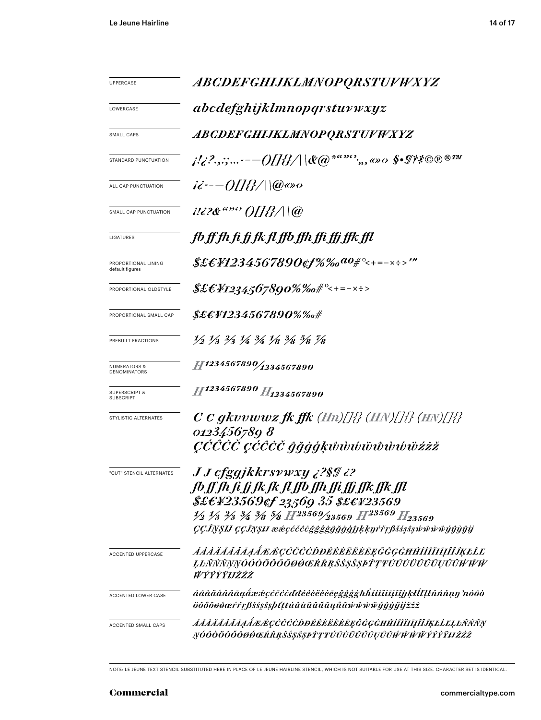| UPPERCASE                               | <i>ABCDEFGHIJKLMNOPQRSTUVWXYZ</i>                                                                                                                                                                                                                                                                                  |  |  |
|-----------------------------------------|--------------------------------------------------------------------------------------------------------------------------------------------------------------------------------------------------------------------------------------------------------------------------------------------------------------------|--|--|
| LOWERCASE                               | abcdefghijklmnopqrstuvwxyz                                                                                                                                                                                                                                                                                         |  |  |
| SMALL CAPS                              | <i>ABCDEFGHIJKLMNOPQRSTUVWXYZ</i>                                                                                                                                                                                                                                                                                  |  |  |
| STANDARD PUNCTUATION                    | j!¿?.,:;-— $\mathcal{O}[[\mathcal{U}]\parallel \mathcal{C}(\varpi^{2^{a\alpha\beta\alpha\gamma}}),$ o» $\alpha$ \$• $\mathcal{I}^{\sharp}$ ? $\mathbb{O}^{\oplus n}$                                                                                                                                               |  |  |
| ALL CAP PUNCTUATION                     | $i\dot{\epsilon}$ ---()[]{}/\\(@«»0                                                                                                                                                                                                                                                                                |  |  |
| SMALL CAP PUNCTUATION                   | $1!i$ ?& "" O[[ <i>{}</i> / \@                                                                                                                                                                                                                                                                                     |  |  |
| LIGATURES                               | fb ff fh fi fj fk fl ffb ffh ffi ffj ffk ffl                                                                                                                                                                                                                                                                       |  |  |
| PROPORTIONAL LINING<br>default figures  | \$£E¥1234567890¢f%‰ <sup>ao</sup> #°<+=-×÷>'"                                                                                                                                                                                                                                                                      |  |  |
| PROPORTIONAL OLDSTYLE                   | $$ \pounds \pounds \pounds \pounds \pounds \pounds \pounds \pounds \pounds \pounds \pounds \pS$ 90%%o# $\lhd$ +=-x $\Rightarrow$                                                                                                                                                                                   |  |  |
| PROPORTIONAL SMALL CAP                  | \$£E¥1234567890%‰#                                                                                                                                                                                                                                                                                                 |  |  |
| PREBUILT FRACTIONS                      | 1/2 1/3 2/3 1/4 3/4 1/8 3/8 5/8 7/8                                                                                                                                                                                                                                                                                |  |  |
| <b>NUMERATORS &amp;</b><br>DENOMINATORS | 11234567890/1234567890                                                                                                                                                                                                                                                                                             |  |  |
| <b>SUPERSCRIPT &amp;</b><br>SUBSCRIPT   | H1234567890 H <sub>1234567890</sub>                                                                                                                                                                                                                                                                                |  |  |
| STYLISTIC ALTERNATES                    | $C$ C gkvvwwz fk ffk (Hn)[]{} (HN)[]{} (HN)[]{}<br>0123456780 8<br>ÇČČČČ ÇČĈČČ ĝğġģķŵwŵŵŵŵŵŵïżżž                                                                                                                                                                                                                   |  |  |
| "CUT" STENCIL ALTERNATES                | J J cfgqjkkrsywxy ¿?\$I ¿?<br>fb ff fh fi fj fk fk fl ffb ffh ffi ffj ffk ffk ffl<br>\$£EY23569¢f 23569 35 \$£EY23569<br>$\frac{1}{2}$ $\frac{1}{3}$ $\frac{2}{3}$ $\frac{3}{4}$ $\frac{3}{8}$ $\frac{5}{8}$ $H^{23569/23569}$ $H^{23569}$ $H_{23569}$<br>ÇÇĴŊŞIJ ÇÇĴŊŞIJ æ&çćčĉčğĝĝĝĝĝĝĵJķķŋŕřŗβšśşŝşŵŵŵŵijŷŷijij |  |  |
| <b>ACCENTED UPPERCASE</b>               | <i>AAAÄÄÄÄĀAA EGCCCCDDÉÊÈËËËE E GGGHĤÍÎÌÏIĮĨĨĴĶŁĹĽ</i><br>ĻĿÑŃŇŅŊÓŎŎÖŐŐŌØŔŒŔŘŖŠŚŞŜŞÞŤŢŦÚŮÙŬŬŰŨŲŮŨŴŴŴ<br><i>WÝŶŶŸIJŽŹŻ</i>                                                                                                                                                                                          |  |  |
| ACCENTED LOWER CASE                     | áâàäåããāąåææçćčĉċďđéêèëĕēeğĝġġħĥíîìïiijĩǧjķłĺľļŀñńňņŋ 'nóôò<br>öőőōøøœŕřŗßšśşŝşþttŧúûùüŭűūųůũŵŵẁŸýŷŷijijžźż                                                                                                                                                                                                        |  |  |
| ACCENTED SMALL CAPS                     | <i>ĂÂÀÄÅÃĂĀẠÅÆÆÇĆČĈÒĐÉÊÈËĚĖĒĘĞĜĢĠĦĤÍÎÌĪIJĨĬĴĶŁĹĽĻĿÑŃŇŅ</i><br>ŊÓÔÒÖŐŐŌØØŒŔŘŖŠŚŞŜŞÞŤŢŦÚÛÙÜŬŰŪŲŮŨŴŴŴŸŶŶŶŸIJŽŹŻ                                                                                                                                                                                                       |  |  |

NOTE: LE JEUNE TEXT STENCIL SUBSTITUTED HERE IN PLACE OF LE JEUNE HAIRLINE STENCIL, WHICH IS NOT SUITABLE FOR USE AT THIS SIZE. CHARACTER SET IS IDENTICAL.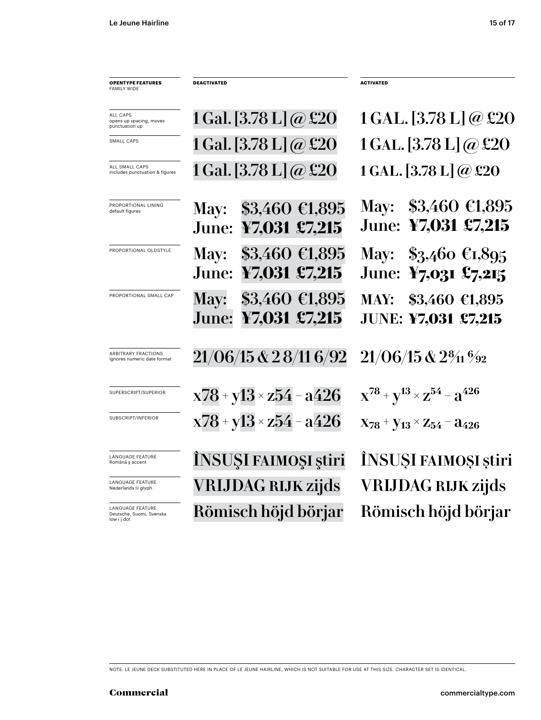| <b>OPENTYPE FEATURES</b><br><b>FAMILY WIDE</b>                     | <b>DEACTIVATED</b>                                                          | <b>ACTIVATED</b>                                     |
|--------------------------------------------------------------------|-----------------------------------------------------------------------------|------------------------------------------------------|
| <b>ALL CAPS</b><br>opens up spacing, moves<br>punctuation up       | $1$ Gal. $[3.78 \text{ L}]$ @ £20                                           | 1 GAL. [3.78 L] @ £20                                |
| SMALL CAPS                                                         | 1 Gal. [3.78 L] $\omega$ £20                                                | 1 GAL. [3.78 L] @ £20                                |
| ALL SMALL CAPS<br>includes punctuation & figures                   | 1 Gal. [3.78 L] @ £20                                                       | 1 GAL. $[3.78 \text{ L}] @$ £20                      |
| PROPORTIONAL LINING<br>default figures                             | $\$3,460 \; \text{\textsterling}1,895$<br>May:<br>June: ¥7,031 £7,215       | May: $$3,460 \in 1,895$<br>June: ¥7,031 £7,215       |
| PROPORTIONAL OLDSTYLE                                              | May: \$3,460 €1,895<br>June: ¥7,031 £7,215                                  | May: \$3,460 $\epsilon$ 1,895<br>June: ¥7,031 £7,215 |
| PROPORTIONAL SMALL CAP                                             | $$3,460 \; \text{\textsterling}1,895$<br><b>May:</b><br>June: ¥7,031 £7,215 | MAY: \$3,460 €1,895<br><b>JUNE: ¥7,031 £7,215</b>    |
| <b>ARBITRARY FRACTIONS</b><br>ignores numeric date format          | 21/06/15 & 2 8/11 6/92                                                      | $21/06/15$ & $2\frac{8}{11}$ $\frac{6}{22}$          |
| SUPERSCRIPT/SUPERIOR                                               | $x78 + y13 \times z54 - a426$                                               | $X^{78} + Y^{13} \times Z^{54} - 3^{426}$            |
| SUBSCRIPT/INFERIOR                                                 | $x78 + y13 \times z54 - a426$                                               | $X_{78}$ + $Y_{13}$ × $Z_{54}$ – $a_{426}$           |
| <b>LANGUAGE FEATURE</b><br>Română ș accent                         | INSUŞI FAIMOŞI ştiri                                                        | ÎNSUȘI FAIMOȘI știri                                 |
| <b>LANGUAGE FEATURE</b><br>Nederlands IJ glyph                     | <b>VRIJDAG RIJK zijds</b>                                                   | <b>VRIJDAG RIJK zijds</b>                            |
| <b>LANGUAGE FEATURE</b><br>Deutsche, Suomi, Svenska<br>low i j dot | Römisch höjd börjar                                                         | Römisch höjd börjar                                  |

NOTE: LE JEUNE DECK SUBSTITUTED HERE IN PLACE OF LE JEUNE HAIRLINE, WHICH IS NOT SUITABLE FOR USE AT THIS SIZE. CHARACTER SET IS IDENTICAL.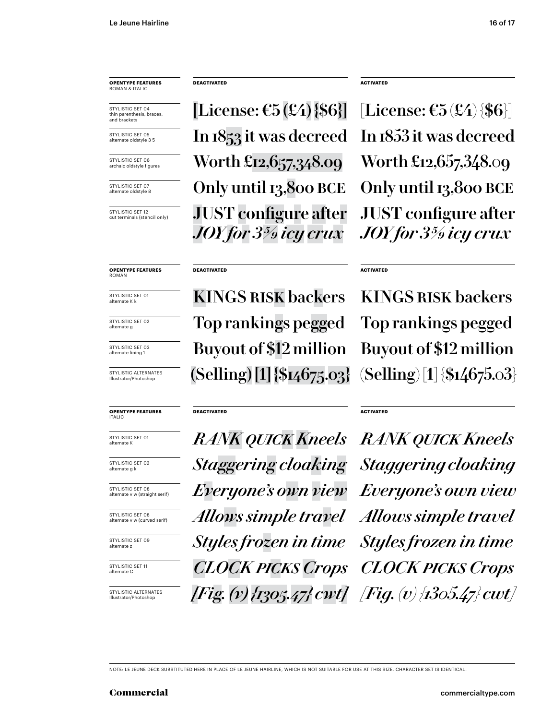STYLISTIC SET 04 thin parenthesis, braces, and brackets

STYLISTIC SET 05 alternate oldstyle 3 5

STYLISTIC SET 06 archaic oldstyle figures

STYLISTIC SFT 07 alternate oldstyle 8

STYLISTIC SET 12 cut terminals (stencil only)

**OPENTYPE FEATURES** ROMAN

STYLISTIC SET 01 alternate K k

STYLISTIC SET 02 alternate g

STYLISTIC SET 03 alternate lining 1

STYLISTIC ALTERNATES Illustrator/Photoshop

### **OPENTYPE FEATURES** ITALIC

STYLISTIC SET 01 alternate K

STYLISTIC SET 02 alternate g k

STYLISTIC SET 08 alternate v w (straight serif)

STYLISTIC SET 08 alternate v w (curved serif)

STYLISTIC SET 09 alternate z

STYLISTIC SET 11 alternate C

STYLISTIC ALTERNATES Illustrator/Photoshop

**DEACTIVATED ACTIVATED**

[License:  $\mathfrak{E}5(\mathfrak{L}4)$  {\$6}] [License:  $\mathfrak{E}5(\mathfrak{L}4)$  {\$6}] In 1853 it was decreed In 1853 it was decreed Only until 13,800 BCE Only until 13,800 BCE Worth £12,657,348.09 Worth £12,657,348.09 JUST configure after *JOY for 3 5/9 icy crux*

### **DEACTIVATED**

KINGS RISK backers KINGS RISK backers Buyout of \$12 million Buyout of \$12 million Top rankings pegged Top rankings pegged  $(Selling) [1] \$ [14675.03]  $(Selling) [1] \$ [154675.03]

### **DEACTIVATED**

*RANK quick Kneels RANK quick Kneels Staggering cloaking Staggering cloaking Everyone's own view Everyone's own view Allows simple travel Allows simple travel Styles frozen in time Styles frozen in time CLOCK picks Crops CLOCK picks Crops [Fig. (v) {1305.47} cwt] [Fig. (v) {1305.47} cwt]*

JUST configure after *JOY for 3 5/9 icy crux*

### **ACTIVATED**

### **ACTIVATED**

NOTE: LE JEUNE DECK SUBSTITUTED HERE IN PLACE OF LE JEUNE HAIRLINE, WHICH IS NOT SUITABLE FOR USE AT THIS SIZE. CHARACTER SET IS IDENTICAL.